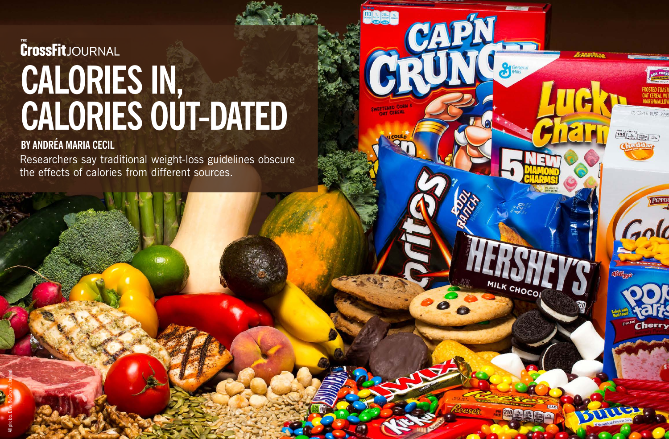

## **CrossFit**JOURNAL **CALORIES IN, CALORIES OUT-DATED**

## **BY ANDRÉA MARIA CECIL**

Researchers say traditional weight-loss guidelines obscure the effects of calories from different sources.